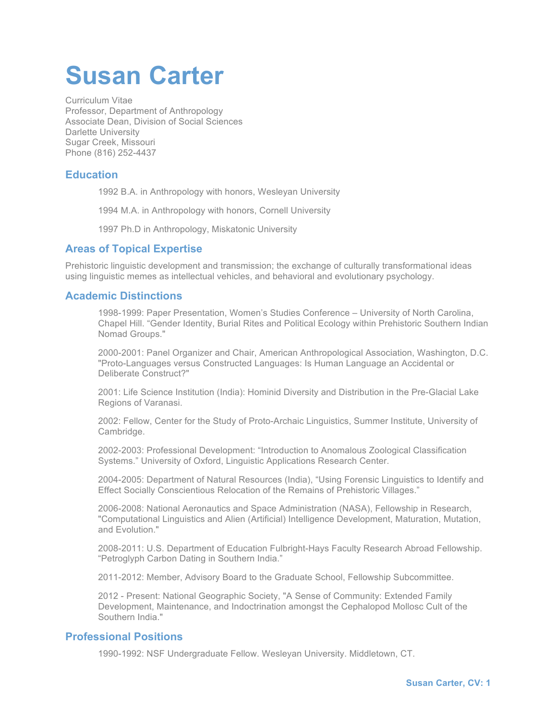# **Susan Carter**

Curriculum Vitae Professor, Department of Anthropology Associate Dean, Division of Social Sciences Darlette University Sugar Creek, Missouri Phone (816) 252-4437

# **Education**

1992 B.A. in Anthropology with honors, Wesleyan University

1994 M.A. in Anthropology with honors, Cornell University

1997 Ph.D in Anthropology, Miskatonic University

# **Areas of Topical Expertise**

Prehistoric linguistic development and transmission; the exchange of culturally transformational ideas using linguistic memes as intellectual vehicles, and behavioral and evolutionary psychology.

# **Academic Distinctions**

1998-1999: Paper Presentation, Women's Studies Conference – University of North Carolina, Chapel Hill. "Gender Identity, Burial Rites and Political Ecology within Prehistoric Southern Indian Nomad Groups."

2000-2001: Panel Organizer and Chair, American Anthropological Association, Washington, D.C. "Proto-Languages versus Constructed Languages: Is Human Language an Accidental or Deliberate Construct?"

2001: Life Science Institution (India): Hominid Diversity and Distribution in the Pre-Glacial Lake Regions of Varanasi.

2002: Fellow, Center for the Study of Proto-Archaic Linguistics, Summer Institute, University of Cambridge.

2002-2003: Professional Development: "Introduction to Anomalous Zoological Classification Systems." University of Oxford, Linguistic Applications Research Center.

2004-2005: Department of Natural Resources (India), "Using Forensic Linguistics to Identify and Effect Socially Conscientious Relocation of the Remains of Prehistoric Villages."

2006-2008: National Aeronautics and Space Administration (NASA), Fellowship in Research, "Computational Linguistics and Alien (Artificial) Intelligence Development, Maturation, Mutation, and Evolution."

2008-2011: U.S. Department of Education Fulbright-Hays Faculty Research Abroad Fellowship. "Petroglyph Carbon Dating in Southern India."

2011-2012: Member, Advisory Board to the Graduate School, Fellowship Subcommittee.

2012 - Present: National Geographic Society, "A Sense of Community: Extended Family Development, Maintenance, and Indoctrination amongst the Cephalopod Mollosc Cult of the Southern India."

# **Professional Positions**

1990-1992: NSF Undergraduate Fellow. Wesleyan University. Middletown, CT.